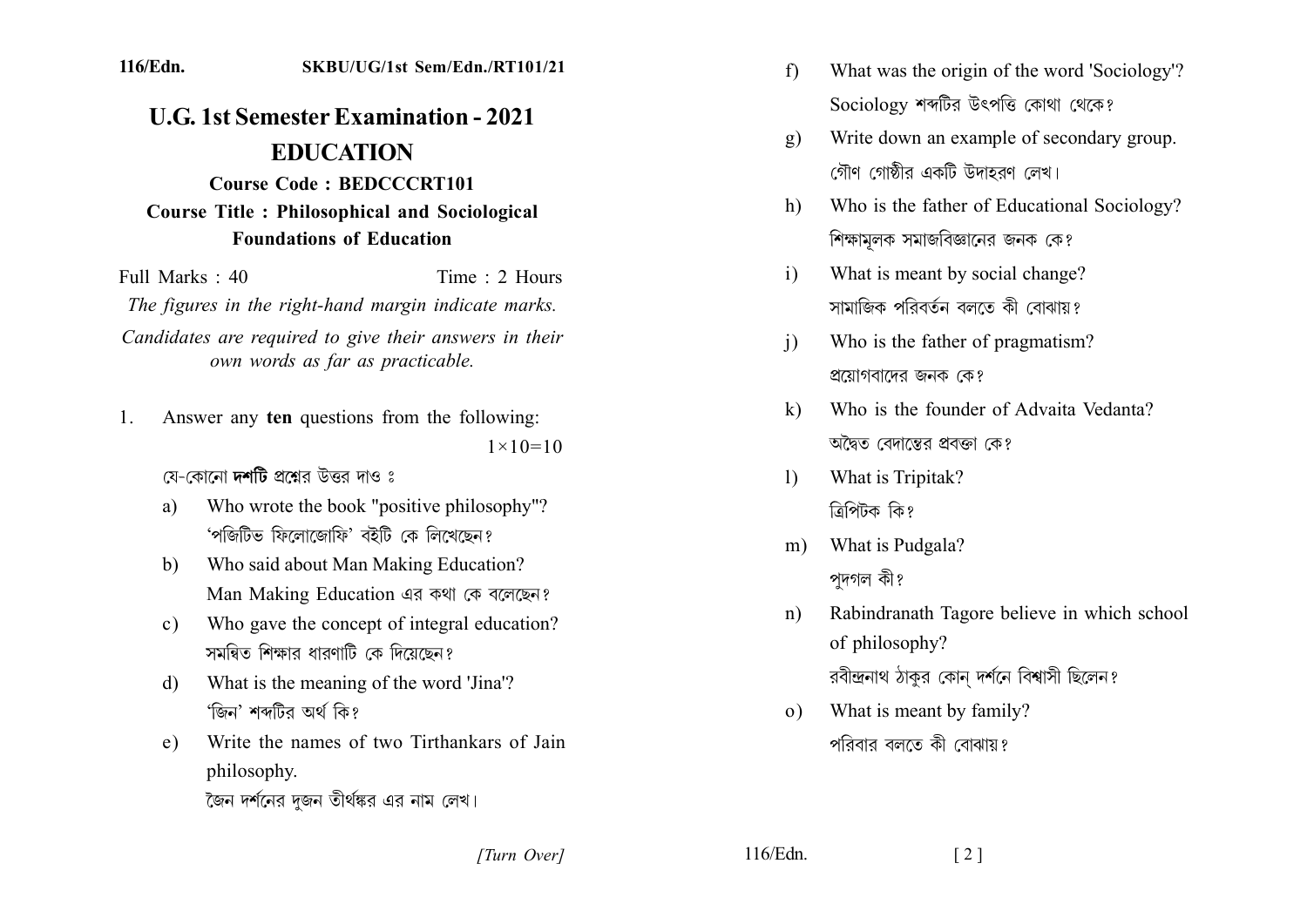## 116/Edn. SKBU/UG/1st Sem/Edn./RT101/21

## **U.G. 1st Semester Examination - 2021 EDUCATION**

## **Course Code: BEDCCCRT101 Course Title: Philosophical and Sociological Foundations of Education**

Time  $\cdot$  2 Hours Full Marks  $\cdot$  40 The figures in the right-hand margin indicate marks. Candidates are required to give their answers in their own words as far as practicable.

- Answer any ten questions from the following:  $\mathbf{1}$  $1 \times 10 = 10$ 
	- যে-কোনো **দশটি** প্ৰশ্নেব উত্তৰ দাও ঃ
	- Who wrote the book "positive philosophy"? a) 'পজিটিভ ফিলোজোফি' বইটি কে লিখেছেন?
	- Who said about Man Making Education?  $h)$ Man Making Education এর কথা কে বলেছেন?
	- Who gave the concept of integral education?  $c)$ সমন্বিত শিক্ষাব ধাবণাটি কে দিয়েছেন?
	- What is the meaning of the word 'Jina'?  $\mathbf{d}$ 'জিন' শব্দটির অর্থ কি?
	- Write the names of two Tirthankars of Jain e) philosophy.
		- কৈন দর্শনের দজন তীর্থঙ্কর এর নাম লেখ।
- $f$ What was the origin of the word 'Sociology'? Sociology শব্দটির উৎপত্তি কোথা থেকে?
- Write down an example of secondary group.  $g)$ গৌণ গোষ্ঠীর একটি উদাহরণ লেখ।
- Who is the father of Educational Sociology?  $h)$ শিক্ষামলক সমাজবিজ্ঞানের জনক কে?
- What is meant by social change?  $i)$ সামাজিক পবিবর্তন বলতে কী বোঝায়?
- Who is the father of pragmatism?  $\overline{1}$ প্রয়োগবাদের জনক কে?
- Who is the founder of Advaita Vedanta?  $\mathbf{k}$ অদ্বৈত বেদাস্তের প্রবক্তা কে?
- What is Tripitak?  $\mathbf{D}$ ত্ৰিপিটক কি?
- What is Pudgala?  $m)$ পদগল কী?
- Rabindranath Tagore believe in which school  $n$ ) of philosophy?

রবীন্দ্রনাথ ঠাকুর কোন দর্শনে বিশ্বাসী ছিলেন?

What is meant by family?  $\Omega$ ) পবিবাব বলতে কী বোঝায়?

 $116/Edn$ .